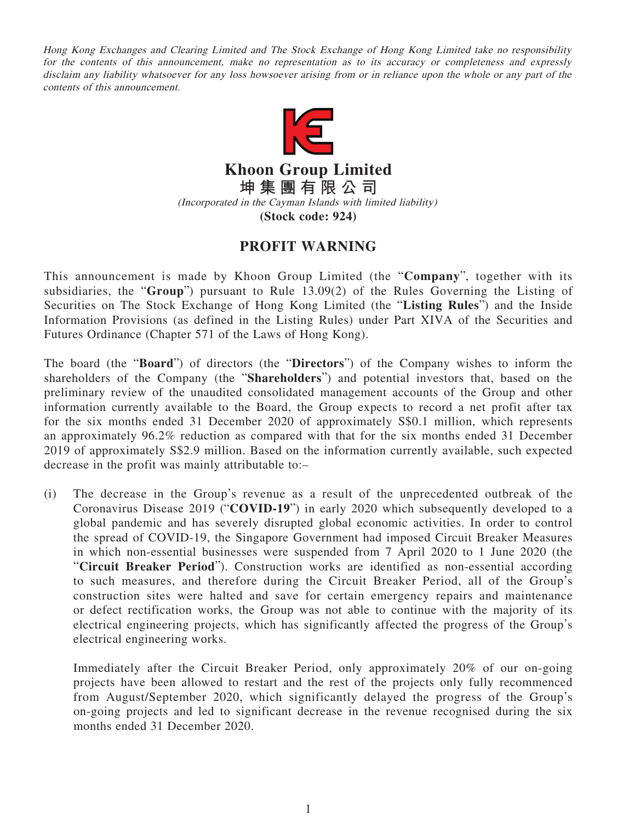Hong Kong Exchanges and Clearing Limited and The Stock Exchange of Hong Kong Limited take no responsibility for the contents of this announcement, make no representation as to its accuracy or completeness and expressly disclaim any liability whatsoever for any loss howsoever arising from or in reliance upon the whole or any part of the contents of this announcement.



**Khoon Group Limited 坤集團有限公司** (Incorporated in the Cayman Islands with limited liability)

**(Stock code: 924)**

## **PROFIT WARNING**

This announcement is made by Khoon Group Limited (the "**Company**", together with its subsidiaries, the "**Group**") pursuant to Rule 13.09(2) of the Rules Governing the Listing of Securities on The Stock Exchange of Hong Kong Limited (the "**Listing Rules**") and the Inside Information Provisions (as defined in the Listing Rules) under Part XIVA of the Securities and Futures Ordinance (Chapter 571 of the Laws of Hong Kong).

The board (the "**Board**") of directors (the "**Directors**") of the Company wishes to inform the shareholders of the Company (the "**Shareholders**") and potential investors that, based on the preliminary review of the unaudited consolidated management accounts of the Group and other information currently available to the Board, the Group expects to record a net profit after tax for the six months ended 31 December 2020 of approximately S\$0.1 million, which represents an approximately 96.2% reduction as compared with that for the six months ended 31 December 2019 of approximately S\$2.9 million. Based on the information currently available, such expected decrease in the profit was mainly attributable to:–

(i) The decrease in the Group's revenue as a result of the unprecedented outbreak of the Coronavirus Disease 2019 ("**COVID-19**") in early 2020 which subsequently developed to a global pandemic and has severely disrupted global economic activities. In order to control the spread of COVID-19, the Singapore Government had imposed Circuit Breaker Measures in which non-essential businesses were suspended from 7 April 2020 to 1 June 2020 (the "**Circuit Breaker Period**"). Construction works are identified as non-essential according to such measures, and therefore during the Circuit Breaker Period, all of the Group's construction sites were halted and save for certain emergency repairs and maintenance or defect rectification works, the Group was not able to continue with the majority of its electrical engineering projects, which has significantly affected the progress of the Group's electrical engineering works.

Immediately after the Circuit Breaker Period, only approximately 20% of our on-going projects have been allowed to restart and the rest of the projects only fully recommenced from August/September 2020, which significantly delayed the progress of the Group's on-going projects and led to significant decrease in the revenue recognised during the six months ended 31 December 2020.